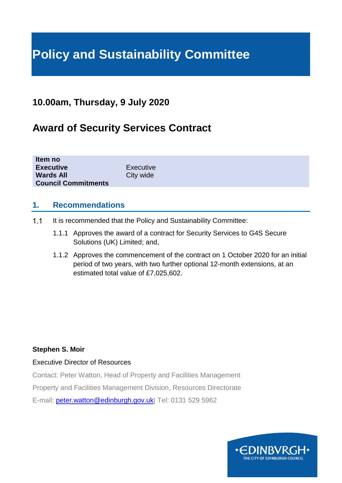# **Policy and Sustainability Committee**

# **10.00am, Thursday, 9 July 2020**

# **Award of Security Services Contract**

| Item no                    |           |  |  |
|----------------------------|-----------|--|--|
| <b>Executive</b>           | Executive |  |  |
| <b>Wards All</b>           | City wide |  |  |
| <b>Council Commitments</b> |           |  |  |

#### **1. Recommendations**

- $1.1$ It is recommended that the Policy and Sustainability Committee:
	- 1.1.1 Approves the award of a contract for Security Services to G4S Secure Solutions (UK) Limited; and,
	- 1.1.2 Approves the commencement of the contract on 1 October 2020 for an initial period of two years, with two further optional 12-month extensions, at an estimated total value of £7,025,602.

#### **Stephen S. Moir**

#### Executive Director of Resources

Contact: Peter Watton, Head of Property and Facilities Management Property and Facilities Management Division, Resources Directorate E-mail: [peter.watton@edinburgh.gov.uk|](mailto:peter.watton@edinburgh.gov.uk) Tel: 0131 529 5962

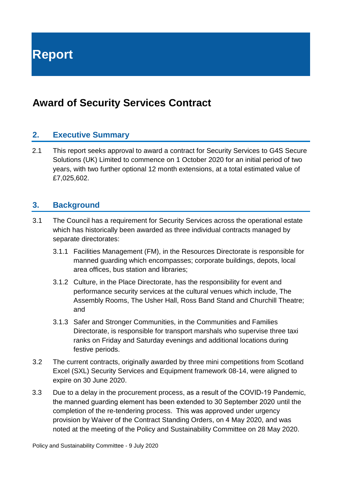**Report**

# **Award of Security Services Contract**

#### **2. Executive Summary**

2.1 This report seeks approval to award a contract for Security Services to G4S Secure Solutions (UK) Limited to commence on 1 October 2020 for an initial period of two years, with two further optional 12 month extensions, at a total estimated value of £7,025,602.

#### **3. Background**

- 3.1 The Council has a requirement for Security Services across the operational estate which has historically been awarded as three individual contracts managed by separate directorates:
	- 3.1.1 Facilities Management (FM), in the Resources Directorate is responsible for manned guarding which encompasses; corporate buildings, depots, local area offices, bus station and libraries;
	- 3.1.2 Culture, in the Place Directorate, has the responsibility for event and performance security services at the cultural venues which include, The Assembly Rooms, The Usher Hall, Ross Band Stand and Churchill Theatre; and
	- 3.1.3 Safer and Stronger Communities, in the Communities and Families Directorate, is responsible for transport marshals who supervise three taxi ranks on Friday and Saturday evenings and additional locations during festive periods.
- 3.2 The current contracts, originally awarded by three mini competitions from Scotland Excel (SXL) Security Services and Equipment framework 08-14, were aligned to expire on 30 June 2020.
- 3.3 Due to a delay in the procurement process, as a result of the COVID-19 Pandemic, the manned guarding element has been extended to 30 September 2020 until the completion of the re-tendering process. This was approved under urgency provision by Waiver of the Contract Standing Orders, on 4 May 2020, and was noted at the meeting of the Policy and Sustainability Committee on 28 May 2020.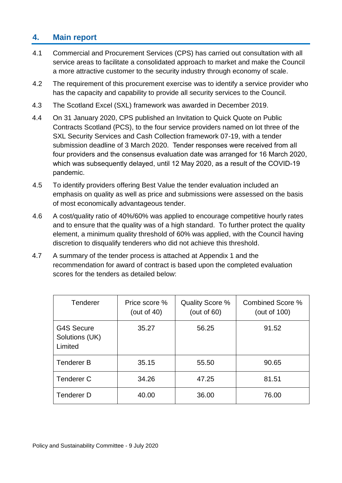## **4. Main report**

- 4.1 Commercial and Procurement Services (CPS) has carried out consultation with all service areas to facilitate a consolidated approach to market and make the Council a more attractive customer to the security industry through economy of scale.
- 4.2 The requirement of this procurement exercise was to identify a service provider who has the capacity and capability to provide all security services to the Council.
- 4.3 The Scotland Excel (SXL) framework was awarded in December 2019.
- 4.4 On 31 January 2020, CPS published an Invitation to Quick Quote on Public Contracts Scotland (PCS), to the four service providers named on lot three of the SXL Security Services and Cash Collection framework 07-19, with a tender submission deadline of 3 March 2020. Tender responses were received from all four providers and the consensus evaluation date was arranged for 16 March 2020, which was subsequently delayed, until 12 May 2020, as a result of the COVID-19 pandemic.
- 4.5 To identify providers offering Best Value the tender evaluation included an emphasis on quality as well as price and submissions were assessed on the basis of most economically advantageous tender.
- 4.6 A cost/quality ratio of 40%/60% was applied to encourage competitive hourly rates and to ensure that the quality was of a high standard. To further protect the quality element, a minimum quality threshold of 60% was applied, with the Council having discretion to disqualify tenderers who did not achieve this threshold.
- 4.7 A summary of the tender process is attached at Appendix 1 and the recommendation for award of contract is based upon the completed evaluation scores for the tenders as detailed below:

| Tenderer                                       | Price score %<br>(out of $40$ ) | Quality Score %<br>(out of $60$ ) | <b>Combined Score %</b><br>(out of 100) |
|------------------------------------------------|---------------------------------|-----------------------------------|-----------------------------------------|
| <b>G4S Secure</b><br>Solutions (UK)<br>Limited | 35.27                           | 56.25                             | 91.52                                   |
| <b>Tenderer B</b>                              | 35.15                           | 55.50                             | 90.65                                   |
| <b>Tenderer C</b>                              | 34.26                           | 47.25                             | 81.51                                   |
| Tenderer D                                     | 40.00                           | 36.00                             | 76.00                                   |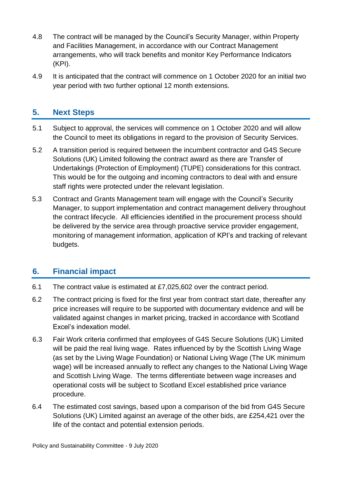- 4.8 The contract will be managed by the Council's Security Manager, within Property and Facilities Management, in accordance with our Contract Management arrangements, who will track benefits and monitor Key Performance Indicators (KPI).
- 4.9 It is anticipated that the contract will commence on 1 October 2020 for an initial two year period with two further optional 12 month extensions.

## **5. Next Steps**

- 5.1 Subject to approval, the services will commence on 1 October 2020 and will allow the Council to meet its obligations in regard to the provision of Security Services.
- 5.2 A transition period is required between the incumbent contractor and G4S Secure Solutions (UK) Limited following the contract award as there are Transfer of Undertakings (Protection of Employment) (TUPE) considerations for this contract. This would be for the outgoing and incoming contractors to deal with and ensure staff rights were protected under the relevant legislation.
- 5.3 Contract and Grants Management team will engage with the Council's Security Manager, to support implementation and contract management delivery throughout the contract lifecycle. All efficiencies identified in the procurement process should be delivered by the service area through proactive service provider engagement, monitoring of management information, application of KPI's and tracking of relevant budgets.

# **6. Financial impact**

- 6.1 The contract value is estimated at £7,025,602 over the contract period.
- 6.2 The contract pricing is fixed for the first year from contract start date, thereafter any price increases will require to be supported with documentary evidence and will be validated against changes in market pricing, tracked in accordance with Scotland Excel's indexation model.
- 6.3 Fair Work criteria confirmed that employees of G4S Secure Solutions (UK) Limited will be paid the real living wage. Rates influenced by by the Scottish Living Wage (as set by the Living Wage Foundation) or National Living Wage (The UK minimum wage) will be increased annually to reflect any changes to the National Living Wage and Scottish Living Wage. The terms differentiate between wage increases and operational costs will be subject to Scotland Excel established price variance procedure.
- 6.4 The estimated cost savings, based upon a comparison of the bid from G4S Secure Solutions (UK) Limited against an average of the other bids, are £254,421 over the life of the contact and potential extension periods.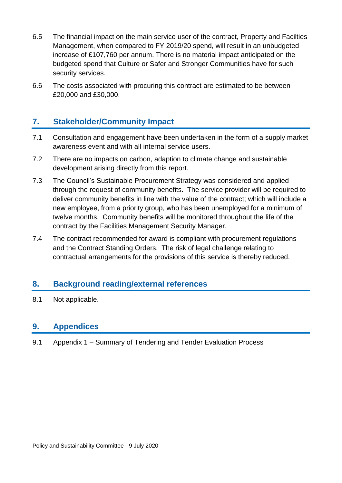- 6.5 The financial impact on the main service user of the contract, Property and Facilties Management, when compared to FY 2019/20 spend, will result in an unbudgeted increase of £107,760 per annum. There is no material impact anticipated on the budgeted spend that Culture or Safer and Stronger Communities have for such security services.
- 6.6 The costs associated with procuring this contract are estimated to be between £20,000 and £30,000.

## **7. Stakeholder/Community Impact**

- 7.1 Consultation and engagement have been undertaken in the form of a supply market awareness event and with all internal service users.
- 7.2 There are no impacts on carbon, adaption to climate change and sustainable development arising directly from this report.
- 7.3 The Council's Sustainable Procurement Strategy was considered and applied through the request of community benefits. The service provider will be required to deliver community benefits in line with the value of the contract; which will include a new employee, from a priority group, who has been unemployed for a minimum of twelve months. Community benefits will be monitored throughout the life of the contract by the Facilities Management Security Manager.
- 7.4 The contract recommended for award is compliant with procurement regulations and the Contract Standing Orders. The risk of legal challenge relating to contractual arrangements for the provisions of this service is thereby reduced.

#### **8. Background reading/external references**

8.1 Not applicable.

#### **9. Appendices**

9.1 Appendix 1 – Summary of Tendering and Tender Evaluation Process